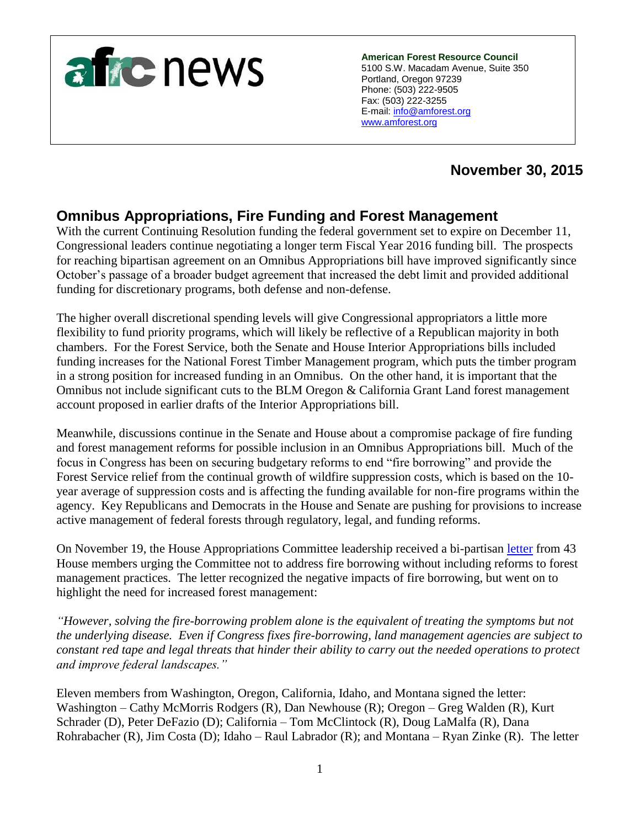

**American Forest Resource Council** 5100 S.W. Macadam Avenue, Suite 350 Portland, Oregon 97239 Phone: (503) 222-9505 Fax: (503) 222-3255 E-mail: [info@amforest.org](mailto:info@amforest.org) [www.amforest.org](http://www.amforest.org/)

# **November 30, 2015**

# **Omnibus Appropriations, Fire Funding and Forest Management**

With the current Continuing Resolution funding the federal government set to expire on December 11, Congressional leaders continue negotiating a longer term Fiscal Year 2016 funding bill. The prospects for reaching bipartisan agreement on an Omnibus Appropriations bill have improved significantly since October's passage of a broader budget agreement that increased the debt limit and provided additional funding for discretionary programs, both defense and non-defense.

The higher overall discretional spending levels will give Congressional appropriators a little more flexibility to fund priority programs, which will likely be reflective of a Republican majority in both chambers. For the Forest Service, both the Senate and House Interior Appropriations bills included funding increases for the National Forest Timber Management program, which puts the timber program in a strong position for increased funding in an Omnibus. On the other hand, it is important that the Omnibus not include significant cuts to the BLM Oregon & California Grant Land forest management account proposed in earlier drafts of the Interior Appropriations bill.

Meanwhile, discussions continue in the Senate and House about a compromise package of fire funding and forest management reforms for possible inclusion in an Omnibus Appropriations bill. Much of the focus in Congress has been on securing budgetary reforms to end "fire borrowing" and provide the Forest Service relief from the continual growth of wildfire suppression costs, which is based on the 10 year average of suppression costs and is affecting the funding available for non-fire programs within the agency. Key Republicans and Democrats in the House and Senate are pushing for provisions to increase active management of federal forests through regulatory, legal, and funding reforms.

On November 19, the House Appropriations Committee leadership received a bi-partisan [letter](http://www.amforest.org/images/pdfs/FINAL_Fire_Borrowing-Forest_Management_Letter.pdf) from 43 House members urging the Committee not to address fire borrowing without including reforms to forest management practices. The letter recognized the negative impacts of fire borrowing, but went on to highlight the need for increased forest management:

*"However, solving the fire-borrowing problem alone is the equivalent of treating the symptoms but not the underlying disease. Even if Congress fixes fire-borrowing, land management agencies are subject to constant red tape and legal threats that hinder their ability to carry out the needed operations to protect and improve federal landscapes."* 

Eleven members from Washington, Oregon, California, Idaho, and Montana signed the letter: Washington – Cathy McMorris Rodgers (R), Dan Newhouse (R); Oregon – Greg Walden (R), Kurt Schrader (D), Peter DeFazio (D); California – Tom McClintock (R), Doug LaMalfa (R), Dana Rohrabacher (R), Jim Costa (D); Idaho – Raul Labrador (R); and Montana – Ryan Zinke (R). The letter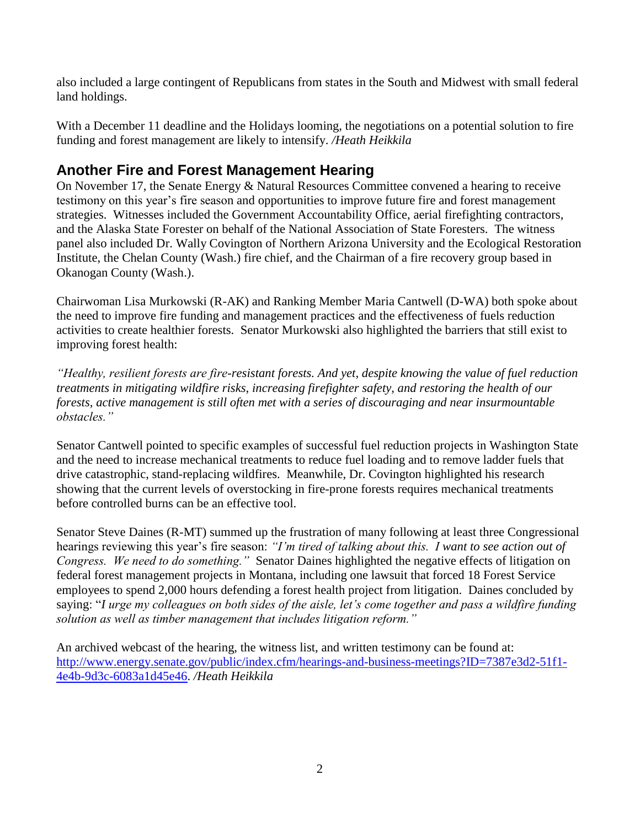also included a large contingent of Republicans from states in the South and Midwest with small federal land holdings.

With a December 11 deadline and the Holidays looming, the negotiations on a potential solution to fire funding and forest management are likely to intensify. */Heath Heikkila*

#### **Another Fire and Forest Management Hearing**

On November 17, the Senate Energy & Natural Resources Committee convened a hearing to receive testimony on this year's fire season and opportunities to improve future fire and forest management strategies. Witnesses included the Government Accountability Office, aerial firefighting contractors, and the Alaska State Forester on behalf of the National Association of State Foresters. The witness panel also included Dr. Wally Covington of Northern Arizona University and the Ecological Restoration Institute, the Chelan County (Wash.) fire chief, and the Chairman of a fire recovery group based in Okanogan County (Wash.).

Chairwoman Lisa Murkowski (R-AK) and Ranking Member Maria Cantwell (D-WA) both spoke about the need to improve fire funding and management practices and the effectiveness of fuels reduction activities to create healthier forests. Senator Murkowski also highlighted the barriers that still exist to improving forest health:

*"Healthy, resilient forests are fire-resistant forests. And yet, despite knowing the value of fuel reduction treatments in mitigating wildfire risks, increasing firefighter safety, and restoring the health of our forests, active management is still often met with a series of discouraging and near insurmountable obstacles."* 

Senator Cantwell pointed to specific examples of successful fuel reduction projects in Washington State and the need to increase mechanical treatments to reduce fuel loading and to remove ladder fuels that drive catastrophic, stand-replacing wildfires. Meanwhile, Dr. Covington highlighted his research showing that the current levels of overstocking in fire-prone forests requires mechanical treatments before controlled burns can be an effective tool.

Senator Steve Daines (R-MT) summed up the frustration of many following at least three Congressional hearings reviewing this year's fire season: *"I'm tired of talking about this. I want to see action out of Congress. We need to do something."* Senator Daines highlighted the negative effects of litigation on federal forest management projects in Montana, including one lawsuit that forced 18 Forest Service employees to spend 2,000 hours defending a forest health project from litigation. Daines concluded by saying: "*I urge my colleagues on both sides of the aisle, let's come together and pass a wildfire funding solution as well as timber management that includes litigation reform."* 

An archived webcast of the hearing, the witness list, and written testimony can be found at: [http://www.energy.senate.gov/public/index.cfm/hearings-and-business-meetings?ID=7387e3d2-51f1-](http://www.energy.senate.gov/public/index.cfm/hearings-and-business-meetings?ID=7387e3d2-51f1-4e4b-9d3c-6083a1d45e46) [4e4b-9d3c-6083a1d45e46.](http://www.energy.senate.gov/public/index.cfm/hearings-and-business-meetings?ID=7387e3d2-51f1-4e4b-9d3c-6083a1d45e46) */Heath Heikkila*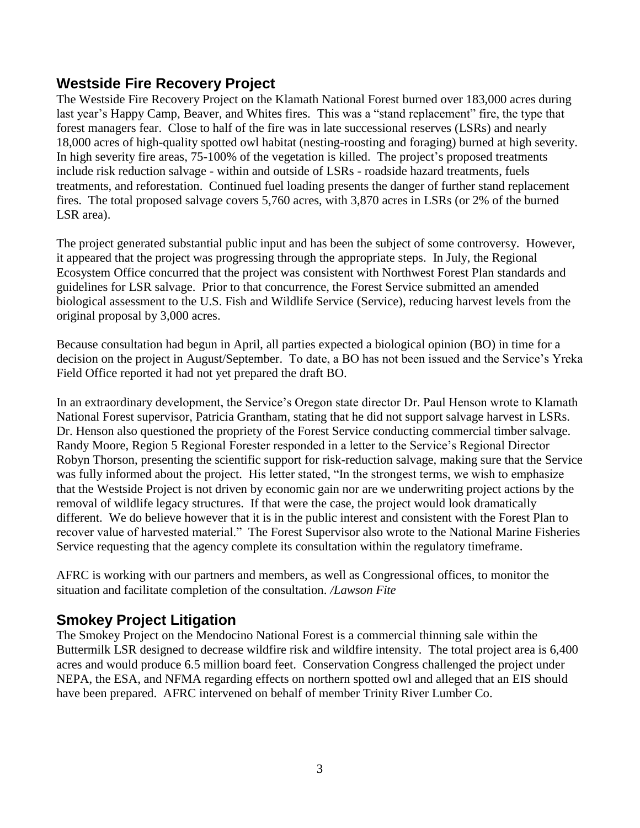#### **Westside Fire Recovery Project**

The Westside Fire Recovery Project on the Klamath National Forest burned over 183,000 acres during last year's Happy Camp, Beaver, and Whites fires. This was a "stand replacement" fire, the type that forest managers fear. Close to half of the fire was in late successional reserves (LSRs) and nearly 18,000 acres of high-quality spotted owl habitat (nesting-roosting and foraging) burned at high severity. In high severity fire areas, 75-100% of the vegetation is killed. The project's proposed treatments include risk reduction salvage - within and outside of LSRs - roadside hazard treatments, fuels treatments, and reforestation. Continued fuel loading presents the danger of further stand replacement fires. The total proposed salvage covers 5,760 acres, with 3,870 acres in LSRs (or 2% of the burned LSR area).

The project generated substantial public input and has been the subject of some controversy. However, it appeared that the project was progressing through the appropriate steps. In July, the Regional Ecosystem Office concurred that the project was consistent with Northwest Forest Plan standards and guidelines for LSR salvage. Prior to that concurrence, the Forest Service submitted an amended biological assessment to the U.S. Fish and Wildlife Service (Service), reducing harvest levels from the original proposal by 3,000 acres.

Because consultation had begun in April, all parties expected a biological opinion (BO) in time for a decision on the project in August/September. To date, a BO has not been issued and the Service's Yreka Field Office reported it had not yet prepared the draft BO.

In an extraordinary development, the Service's Oregon state director Dr. Paul Henson wrote to Klamath National Forest supervisor, Patricia Grantham, stating that he did not support salvage harvest in LSRs. Dr. Henson also questioned the propriety of the Forest Service conducting commercial timber salvage. Randy Moore, Region 5 Regional Forester responded in a letter to the Service's Regional Director Robyn Thorson, presenting the scientific support for risk-reduction salvage, making sure that the Service was fully informed about the project. His letter stated, "In the strongest terms, we wish to emphasize that the Westside Project is not driven by economic gain nor are we underwriting project actions by the removal of wildlife legacy structures. If that were the case, the project would look dramatically different. We do believe however that it is in the public interest and consistent with the Forest Plan to recover value of harvested material." The Forest Supervisor also wrote to the National Marine Fisheries Service requesting that the agency complete its consultation within the regulatory timeframe.

AFRC is working with our partners and members, as well as Congressional offices, to monitor the situation and facilitate completion of the consultation. */Lawson Fite*

## **Smokey Project Litigation**

The Smokey Project on the Mendocino National Forest is a commercial thinning sale within the Buttermilk LSR designed to decrease wildfire risk and wildfire intensity. The total project area is 6,400 acres and would produce 6.5 million board feet. Conservation Congress challenged the project under NEPA, the ESA, and NFMA regarding effects on northern spotted owl and alleged that an EIS should have been prepared. AFRC intervened on behalf of member Trinity River Lumber Co.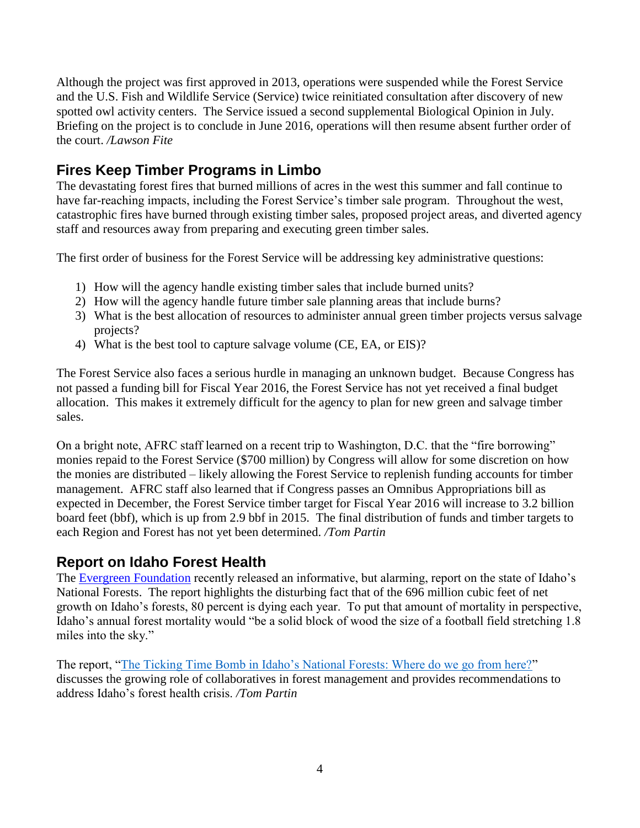Although the project was first approved in 2013, operations were suspended while the Forest Service and the U.S. Fish and Wildlife Service (Service) twice reinitiated consultation after discovery of new spotted owl activity centers. The Service issued a second supplemental Biological Opinion in July. Briefing on the project is to conclude in June 2016, operations will then resume absent further order of the court. */Lawson Fite*

# **Fires Keep Timber Programs in Limbo**

The devastating forest fires that burned millions of acres in the west this summer and fall continue to have far-reaching impacts, including the Forest Service's timber sale program. Throughout the west, catastrophic fires have burned through existing timber sales, proposed project areas, and diverted agency staff and resources away from preparing and executing green timber sales.

The first order of business for the Forest Service will be addressing key administrative questions:

- 1) How will the agency handle existing timber sales that include burned units?
- 2) How will the agency handle future timber sale planning areas that include burns?
- 3) What is the best allocation of resources to administer annual green timber projects versus salvage projects?
- 4) What is the best tool to capture salvage volume (CE, EA, or EIS)?

The Forest Service also faces a serious hurdle in managing an unknown budget. Because Congress has not passed a funding bill for Fiscal Year 2016, the Forest Service has not yet received a final budget allocation. This makes it extremely difficult for the agency to plan for new green and salvage timber sales.

On a bright note, AFRC staff learned on a recent trip to Washington, D.C. that the "fire borrowing" monies repaid to the Forest Service (\$700 million) by Congress will allow for some discretion on how the monies are distributed – likely allowing the Forest Service to replenish funding accounts for timber management. AFRC staff also learned that if Congress passes an Omnibus Appropriations bill as expected in December, the Forest Service timber target for Fiscal Year 2016 will increase to 3.2 billion board feet (bbf), which is up from 2.9 bbf in 2015. The final distribution of funds and timber targets to each Region and Forest has not yet been determined. */Tom Partin* 

## **Report on Idaho Forest Health**

The [Evergreen Foundation](http://www.evergreenmagazine.com/) recently released an informative, but alarming, report on the state of Idaho's National Forests. The report highlights the disturbing fact that of the 696 million cubic feet of net growth on Idaho's forests, 80 percent is dying each year. To put that amount of mortality in perspective, Idaho's annual forest mortality would "be a solid block of wood the size of a football field stretching 1.8 miles into the sky."

The report, ["The Ticking Time Bomb in Idaho's National Forests: Where do we go from here?"](http://www.forestbusinessnetwork.com/wp-content/uploads/Evergreen-Idaho-National-Forests-Report-Fall-2015.pdf) discusses the growing role of collaboratives in forest management and provides recommendations to address Idaho's forest health crisis. */Tom Partin*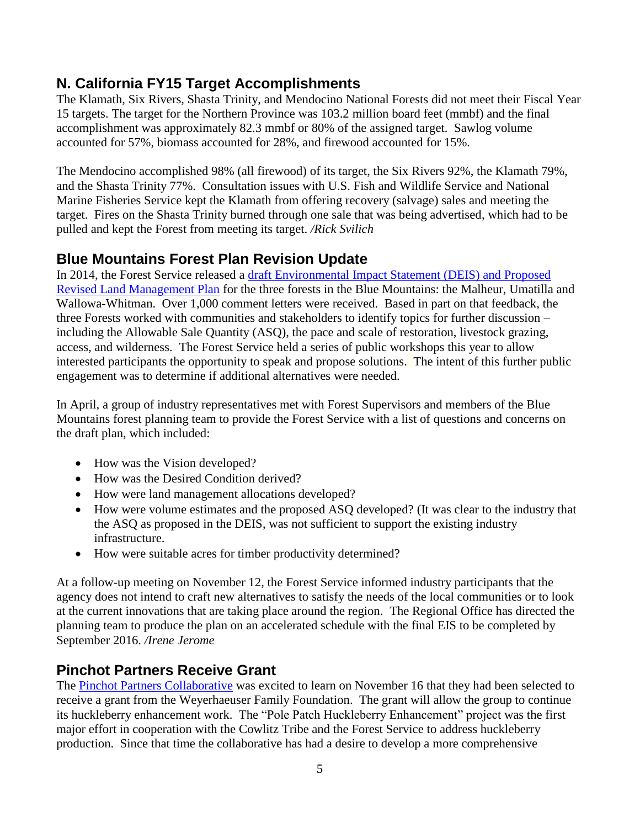## **N. California FY15 Target Accomplishments**

The Klamath, Six Rivers, Shasta Trinity, and Mendocino National Forests did not meet their Fiscal Year 15 targets. The target for the Northern Province was 103.2 million board feet (mmbf) and the final accomplishment was approximately 82.3 mmbf or 80% of the assigned target. Sawlog volume accounted for 57%, biomass accounted for 28%, and firewood accounted for 15%.

The Mendocino accomplished 98% (all firewood) of its target, the Six Rivers 92%, the Klamath 79%, and the Shasta Trinity 77%. Consultation issues with U.S. Fish and Wildlife Service and National Marine Fisheries Service kept the Klamath from offering recovery (salvage) sales and meeting the target. Fires on the Shasta Trinity burned through one sale that was being advertised, which had to be pulled and kept the Forest from meeting its target. */Rick Svilich*

## **Blue Mountains Forest Plan Revision Update**

In 2014, the Forest Service released a [draft Environmental Impact Statement \(DEIS\) and Proposed](http://cara.ecosystem-management.org/Public/ReadingRoom?project=31195)  [Revised Land Management Plan](http://cara.ecosystem-management.org/Public/ReadingRoom?project=31195) for the three forests in the Blue Mountains: the Malheur, Umatilla and Wallowa-Whitman. Over 1,000 comment letters were received. Based in part on that feedback, the three Forests worked with communities and stakeholders to identify topics for further discussion – including the Allowable Sale Quantity (ASQ), the pace and scale of restoration, livestock grazing, access, and wilderness. The Forest Service held a series of public workshops this year to allow interested participants the opportunity to speak and propose solutions. The intent of this further public engagement was to determine if additional alternatives were needed.

In April, a group of industry representatives met with Forest Supervisors and members of the Blue Mountains forest planning team to provide the Forest Service with a list of questions and concerns on the draft plan, which included:

- How was the Vision developed?
- How was the Desired Condition derived?
- How were land management allocations developed?
- How were volume estimates and the proposed ASQ developed? (It was clear to the industry that the ASQ as proposed in the DEIS, was not sufficient to support the existing industry infrastructure.
- How were suitable acres for timber productivity determined?

At a follow-up meeting on November 12, the Forest Service informed industry participants that the agency does not intend to craft new alternatives to satisfy the needs of the local communities or to look at the current innovations that are taking place around the region. The Regional Office has directed the planning team to produce the plan on an accelerated schedule with the final EIS to be completed by September 2016. */Irene Jerome*

## **Pinchot Partners Receive Grant**

The [Pinchot Partners Collaborative](http://pinchotpartners.org/) was excited to learn on November 16 that they had been selected to receive a grant from the Weyerhaeuser Family Foundation. The grant will allow the group to continue its huckleberry enhancement work. The "Pole Patch Huckleberry Enhancement" project was the first major effort in cooperation with the Cowlitz Tribe and the Forest Service to address huckleberry production. Since that time the collaborative has had a desire to develop a more comprehensive